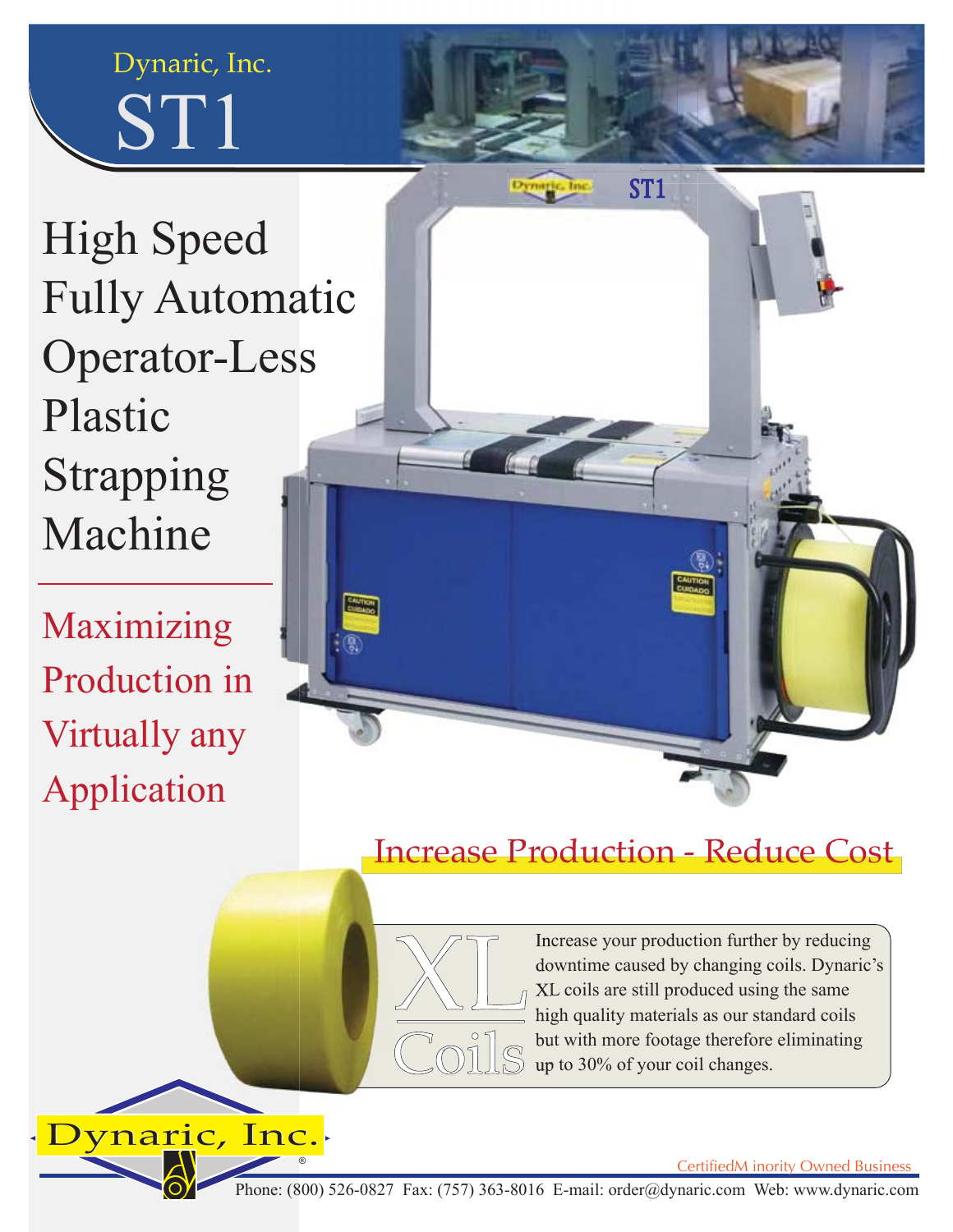



High Speed Fully Automatic Operator-Less Plastic Strapping Machine

Maximizing Production in Virtually any Application



## Increase Production - Reduce Cost



Increase your production further by reducing downtime caused by changing coils. Dynaric's XL coils are still produced using the same high quality materials as our standard coils but with more footage therefore eliminating up to 30% of your coil changes.

ynaric, Inc.